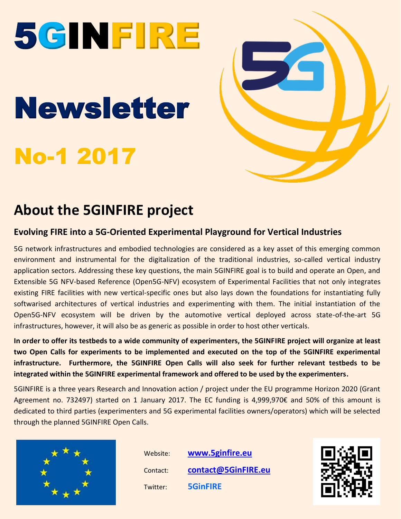# 5GINFIRE

## Newsletter

## No-1 2017



### **About the 5GINFIRE project**

#### **Evolving FIRE into a 5G-Oriented Experimental Playground for Vertical Industries**

5G network infrastructures and embodied technologies are considered as a key asset of this emerging common environment and instrumental for the digitalization of the traditional industries, so-called vertical industry application sectors. Addressing these key questions, the main 5GINFIRE goal is to build and operate an Open, and Extensible 5G NFV-based Reference (Open5G-NFV) ecosystem of Experimental Facilities that not only integrates existing FIRE facilities with new vertical-specific ones but also lays down the foundations for instantiating fully softwarised architectures of vertical industries and experimenting with them. The initial instantiation of the Open5G-NFV ecosystem will be driven by the automotive vertical deployed across state-of-the-art 5G infrastructures, however, it will also be as generic as possible in order to host other verticals.

**In order to offer its testbeds to a wide community of experimenters, the 5GINFIRE project will organize at least two Open Calls for experiments to be implemented and executed on the top of the 5GINFIRE experimental infrastructure. Furthermore, the 5GINFIRE Open Calls will also seek for further relevant testbeds to be integrated within the 5GINFIRE experimental framework and offered to be used by the experimenters.**

5GINFIRE is a three years Research and Innovation action / project under the EU programme Horizon 2020 (Grant Agreement no. 732497) started on 1 January 2017. The EC funding is 4,999,970€ and 50% of this amount is dedicated to third parties (experimenters and 5G experimental facilities owners/operators) which will be selected through the planned 5GINFIRE Open Calls.



 Website: **[www.5ginfire.eu](http://www.5ginfire.eu/)** Contact: **[contact@5GinFIRE.eu](mailto:contact@5GinFIRE.eu)** Twitter: **5GinFIRE**

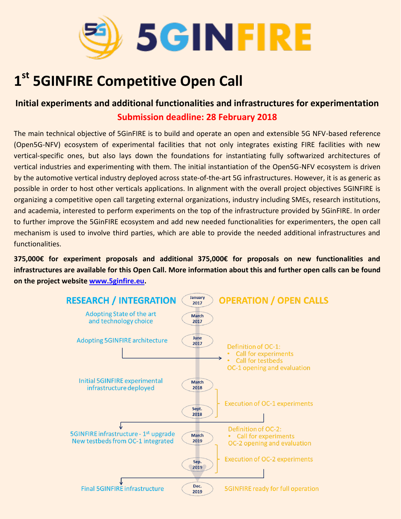

## **1 st 5GINFIRE Competitive Open Call**

#### **Initial experiments and additional functionalities and infrastructures for experimentation Submission deadline: 28 February 2018**

The main technical objective of 5GinFIRE is to build and operate an open and extensible 5G NFV-based reference (Open5G-NFV) ecosystem of experimental facilities that not only integrates existing FIRE facilities with new vertical-specific ones, but also lays down the foundations for instantiating fully softwarized architectures of vertical industries and experimenting with them. The initial instantiation of the Open5G-NFV ecosystem is driven by the automotive vertical industry deployed across state-of-the-art 5G infrastructures. However, it is as generic as possible in order to host other verticals applications. In alignment with the overall project objectives 5GINFIRE is organizing a competitive open call targeting external organizations, industry including SMEs, research institutions, and academia, interested to perform experiments on the top of the infrastructure provided by 5GinFIRE. In order to further improve the 5GinFIRE ecosystem and add new needed functionalities for experimenters, the open call mechanism is used to involve third parties, which are able to provide the needed additional infrastructures and functionalities.

**375,000€ for experiment proposals and additional 375,000€ for proposals on new functionalities and infrastructures are available for this Open Call. More information about this and further open calls can be found on the project website [www.5ginfire.eu.](http://www.5ginfire.eu/)** 

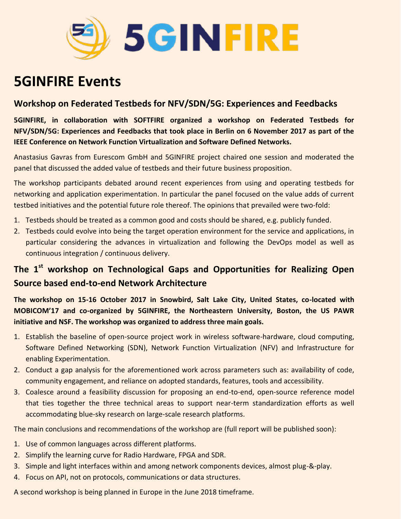

### **5GINFIRE Events**

#### **Workshop on Federated Testbeds for NFV/SDN/5G: Experiences and Feedbacks**

**5GINFIRE, in collaboration with SOFTFIRE organized a workshop on Federated Testbeds for NFV/SDN/5G: Experiences and Feedbacks that took place in Berlin on 6 November 2017 as part of the IEEE Conference on Network Function Virtualization and Software Defined Networks.**

Anastasius Gavras from Eurescom GmbH and 5GINFIRE project chaired one session and moderated the panel that discussed the added value of testbeds and their future business proposition.

The workshop participants debated around recent experiences from using and operating testbeds for networking and application experimentation. In particular the panel focused on the value adds of current testbed initiatives and the potential future role thereof. The opinions that prevailed were two-fold:

- 1. Testbeds should be treated as a common good and costs should be shared, e.g. publicly funded.
- 2. Testbeds could evolve into being the target operation environment for the service and applications, in particular considering the advances in virtualization and following the DevOps model as well as continuous integration / continuous delivery.

#### **The 1st workshop on Technological Gaps and Opportunities for Realizing Open Source based end-to-end Network Architecture**

**The workshop on 15-16 October 2017 in Snowbird, Salt Lake City, United States, co-located with MOBICOM'17 and co-organized by 5GINFIRE, the Northeastern University, Boston, the US PAWR initiative and NSF. The workshop was organized to address three main goals.**

- 1. Establish the baseline of open-source project work in wireless software-hardware, cloud computing, Software Defined Networking (SDN), Network Function Virtualization (NFV) and Infrastructure for enabling Experimentation.
- 2. Conduct a gap analysis for the aforementioned work across parameters such as: availability of code, community engagement, and reliance on adopted standards, features, tools and accessibility.
- 3. Coalesce around a feasibility discussion for proposing an end-to-end, open-source reference model that ties together the three technical areas to support near-term standardization efforts as well accommodating blue-sky research on large-scale research platforms.

The main conclusions and recommendations of the workshop are (full report will be published soon):

- 1. Use of common languages across different platforms.
- 2. Simplify the learning curve for Radio Hardware, FPGA and SDR.
- 3. Simple and light interfaces within and among network components devices, almost plug-&-play.
- 4. Focus on API, not on protocols, communications or data structures.

A second workshop is being planned in Europe in the June 2018 timeframe.